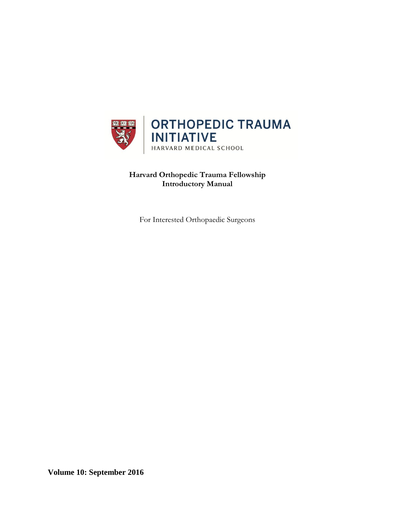

**Harvard Orthopedic Trauma Fellowship Introductory Manual**

For Interested Orthopaedic Surgeons

**Volume 10: September 2016**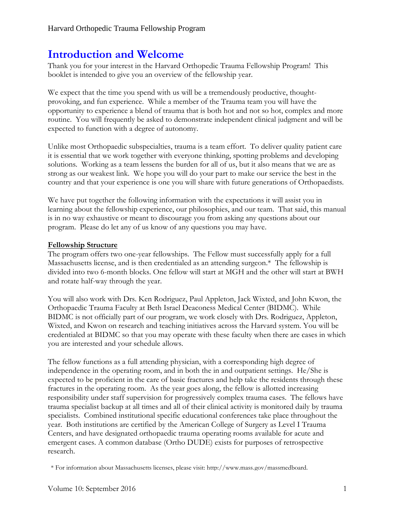# **Introduction and Welcome**

Thank you for your interest in the Harvard Orthopedic Trauma Fellowship Program! This booklet is intended to give you an overview of the fellowship year.

We expect that the time you spend with us will be a tremendously productive, thoughtprovoking, and fun experience. While a member of the Trauma team you will have the opportunity to experience a blend of trauma that is both hot and not so hot, complex and more routine. You will frequently be asked to demonstrate independent clinical judgment and will be expected to function with a degree of autonomy.

Unlike most Orthopaedic subspecialties, trauma is a team effort. To deliver quality patient care it is essential that we work together with everyone thinking, spotting problems and developing solutions. Working as a team lessens the burden for all of us, but it also means that we are as strong as our weakest link. We hope you will do your part to make our service the best in the country and that your experience is one you will share with future generations of Orthopaedists.

We have put together the following information with the expectations it will assist you in learning about the fellowship experience, our philosophies, and our team. That said, this manual is in no way exhaustive or meant to discourage you from asking any questions about our program. Please do let any of us know of any questions you may have.

### **Fellowship Structure**

The program offers two one-year fellowships. The Fellow must successfully apply for a full Massachusetts license, and is then credentialed as an attending surgeon.\* The fellowship is divided into two 6-month blocks. One fellow will start at MGH and the other will start at BWH and rotate half-way through the year.

You will also work with Drs. Ken Rodriguez, Paul Appleton, Jack Wixted, and John Kwon, the Orthopaedic Trauma Faculty at Beth Israel Deaconess Medical Center (BIDMC). While BIDMC is not officially part of our program, we work closely with Drs. Rodriguez, Appleton, Wixted, and Kwon on research and teaching initiatives across the Harvard system. You will be credentialed at BIDMC so that you may operate with these faculty when there are cases in which you are interested and your schedule allows.

The fellow functions as a full attending physician, with a corresponding high degree of independence in the operating room, and in both the in and outpatient settings. He/She is expected to be proficient in the care of basic fractures and help take the residents through these fractures in the operating room. As the year goes along, the fellow is allotted increasing responsibility under staff supervision for progressively complex trauma cases. The fellows have trauma specialist backup at all times and all of their clinical activity is monitored daily by trauma specialists. Combined institutional specific educational conferences take place throughout the year. Both institutions are certified by the American College of Surgery as Level I Trauma Centers, and have designated orthopaedic trauma operating rooms available for acute and emergent cases. A common database (Ortho DUDE) exists for purposes of retrospective research.

<sup>\*</sup> For information about Massachusetts licenses, please visit: http://www.mass.gov/massmedboard.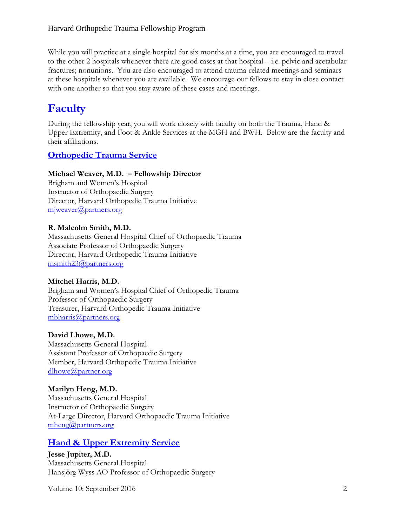While you will practice at a single hospital for six months at a time, you are encouraged to travel to the other 2 hospitals whenever there are good cases at that hospital – i.e. pelvic and acetabular fractures; nonunions. You are also encouraged to attend trauma-related meetings and seminars at these hospitals whenever you are available. We encourage our fellows to stay in close contact with one another so that you stay aware of these cases and meetings.

# **Faculty**

During the fellowship year, you will work closely with faculty on both the Trauma, Hand & Upper Extremity, and Foot & Ankle Services at the MGH and BWH. Below are the faculty and their affiliations.

# **Orthopedic Trauma Service**

# **Michael Weaver, M.D. – Fellowship Director**

Brigham and Women's Hospital Instructor of Orthopaedic Surgery Director, Harvard Orthopedic Trauma Initiative [mjweaver@partners.org](mailto:mjweaver@partners.org)

## **R. Malcolm Smith, M.D.**

Massachusetts General Hospital Chief of Orthopaedic Trauma Associate Professor of Orthopaedic Surgery Director, Harvard Orthopedic Trauma Initiative [msmith23@partners.org](mailto:msmith23@partners.org)

# **Mitchel Harris, M.D.**

Brigham and Women's Hospital Chief of Orthopedic Trauma Professor of Orthopaedic Surgery Treasurer, Harvard Orthopedic Trauma Initiative [mbharris@partners.org](mailto:mbharris@partners.org)

### **David Lhowe, M.D.**

Massachusetts General Hospital Assistant Professor of Orthopaedic Surgery Member, Harvard Orthopedic Trauma Initiative [dlhowe@partner.org](mailto:dlhowe@partner.org)

# **Marilyn Heng, M.D.** Massachusetts General Hospital Instructor of Orthopaedic Surgery At-Large Director, Harvard Orthopaedic Trauma Initiative [mheng@partners.org](mailto:mheng@partners.org)

# **Hand & Upper Extremity Service**

**Jesse Jupiter, M.D.** Massachusetts General Hospital Hansjörg Wyss AO Professor of Orthopaedic Surgery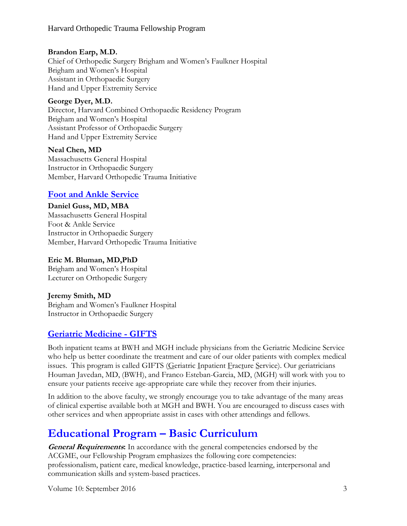## **Brandon Earp, M.D.**

Chief of Orthopedic Surgery Brigham and Women's Faulkner Hospital Brigham and Women's Hospital Assistant in Orthopaedic Surgery Hand and Upper Extremity Service

### **George Dyer, M.D.**

Director, Harvard Combined Orthopaedic Residency Program Brigham and Women's Hospital Assistant Professor of Orthopaedic Surgery Hand and Upper Extremity Service

## **Neal Chen, MD**

Massachusetts General Hospital Instructor in Orthopaedic Surgery Member, Harvard Orthopedic Trauma Initiative

# **Foot and Ankle Service**

## **Daniel Guss, MD, MBA**

Massachusetts General Hospital Foot & Ankle Service Instructor in Orthopaedic Surgery Member, Harvard Orthopedic Trauma Initiative

## **Eric M. Bluman, MD,PhD**

Brigham and Women's Hospital Lecturer on Orthopedic Surgery

### **Jeremy Smith, MD**

Brigham and Women's Faulkner Hospital Instructor in Orthopaedic Surgery

# **Geriatric Medicine - GIFTS**

Both inpatient teams at BWH and MGH include physicians from the Geriatric Medicine Service who help us better coordinate the treatment and care of our older patients with complex medical issues. This program is called GIFTS (Geriatric Inpatient Fracture Service). Our geriatricians Houman Javedan, MD, (BWH), and Franco Esteban-Garcia, MD, (MGH) will work with you to ensure your patients receive age-appropriate care while they recover from their injuries.

In addition to the above faculty, we strongly encourage you to take advantage of the many areas of clinical expertise available both at MGH and BWH. You are encouraged to discuss cases with other services and when appropriate assist in cases with other attendings and fellows.

# **Educational Program – Basic Curriculum**

**General Requirements:** In accordance with the general competencies endorsed by the ACGME, our Fellowship Program emphasizes the following core competencies: professionalism, patient care, medical knowledge, practice-based learning, interpersonal and communication skills and system-based practices.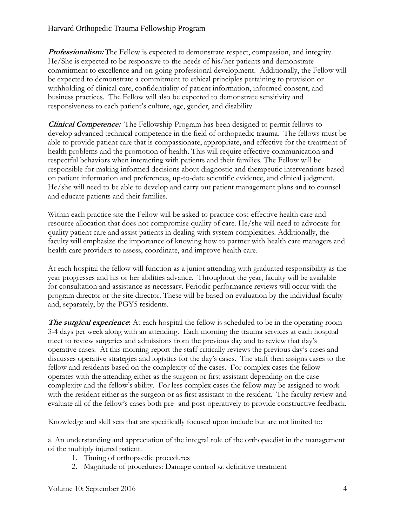**Professionalism:** The Fellow is expected to demonstrate respect, compassion, and integrity. He/She is expected to be responsive to the needs of his/her patients and demonstrate commitment to excellence and on-going professional development. Additionally, the Fellow will be expected to demonstrate a commitment to ethical principles pertaining to provision or withholding of clinical care, confidentiality of patient information, informed consent, and business practices. The Fellow will also be expected to demonstrate sensitivity and responsiveness to each patient's culture, age, gender, and disability.

**Clinical Competence:** The Fellowship Program has been designed to permit fellows to develop advanced technical competence in the field of orthopaedic trauma. The fellows must be able to provide patient care that is compassionate, appropriate, and effective for the treatment of health problems and the promotion of health. This will require effective communication and respectful behaviors when interacting with patients and their families. The Fellow will be responsible for making informed decisions about diagnostic and therapeutic interventions based on patient information and preferences, up-to-date scientific evidence, and clinical judgment. He/she will need to be able to develop and carry out patient management plans and to counsel and educate patients and their families.

Within each practice site the Fellow will be asked to practice cost-effective health care and resource allocation that does not compromise quality of care. He/she will need to advocate for quality patient care and assist patients in dealing with system complexities. Additionally, the faculty will emphasize the importance of knowing how to partner with health care managers and health care providers to assess, coordinate, and improve health care.

At each hospital the fellow will function as a junior attending with graduated responsibility as the year progresses and his or her abilities advance. Throughout the year, faculty will be available for consultation and assistance as necessary. Periodic performance reviews will occur with the program director or the site director. These will be based on evaluation by the individual faculty and, separately, by the PGY5 residents.

**The surgical experience:** At each hospital the fellow is scheduled to be in the operating room 3-4 days per week along with an attending. Each morning the trauma services at each hospital meet to review surgeries and admissions from the previous day and to review that day's operative cases. At this morning report the staff critically reviews the previous day's cases and discusses operative strategies and logistics for the day's cases. The staff then assigns cases to the fellow and residents based on the complexity of the cases. For complex cases the fellow operates with the attending either as the surgeon or first assistant depending on the case complexity and the fellow's ability. For less complex cases the fellow may be assigned to work with the resident either as the surgeon or as first assistant to the resident. The faculty review and evaluate all of the fellow's cases both pre- and post-operatively to provide constructive feedback.

Knowledge and skill sets that are specifically focused upon include but are not limited to:

a. An understanding and appreciation of the integral role of the orthopaedist in the management of the multiply injured patient.

- 1. Timing of orthopaedic procedures
- 2. Magnitude of procedures: Damage control *vs.* definitive treatment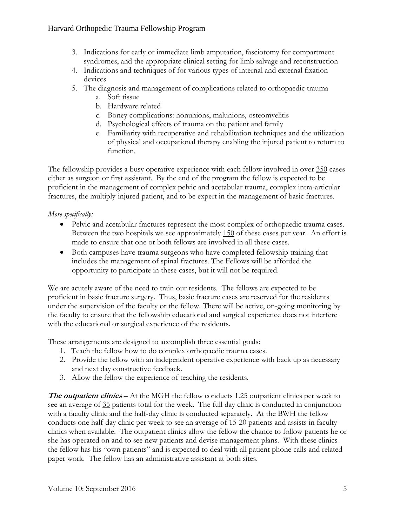- 3. Indications for early or immediate limb amputation, fasciotomy for compartment syndromes, and the appropriate clinical setting for limb salvage and reconstruction
- 4. Indications and techniques of for various types of internal and external fixation devices
- 5. The diagnosis and management of complications related to orthopaedic trauma
	- a. Soft tissue
	- b. Hardware related
	- c. Boney complications: nonunions, malunions, osteomyelitis
	- d. Psychological effects of trauma on the patient and family
	- e. Familiarity with recuperative and rehabilitation techniques and the utilization of physical and occupational therapy enabling the injured patient to return to function.

The fellowship provides a busy operative experience with each fellow involved in over 350 cases either as surgeon or first assistant. By the end of the program the fellow is expected to be proficient in the management of complex pelvic and acetabular trauma, complex intra-articular fractures, the multiply-injured patient, and to be expert in the management of basic fractures.

# *More specifically:*

- Pelvic and acetabular fractures represent the most complex of orthopaedic trauma cases. Between the two hospitals we see approximately 150 of these cases per year. An effort is made to ensure that one or both fellows are involved in all these cases.
- Both campuses have trauma surgeons who have completed fellowship training that includes the management of spinal fractures. The Fellows will be afforded the opportunity to participate in these cases, but it will not be required.

We are acutely aware of the need to train our residents. The fellows are expected to be proficient in basic fracture surgery. Thus, basic fracture cases are reserved for the residents under the supervision of the faculty or the fellow. There will be active, on-going monitoring by the faculty to ensure that the fellowship educational and surgical experience does not interfere with the educational or surgical experience of the residents.

These arrangements are designed to accomplish three essential goals:

- 1. Teach the fellow how to do complex orthopaedic trauma cases.
- 2. Provide the fellow with an independent operative experience with back up as necessary and next day constructive feedback.
- 3. Allow the fellow the experience of teaching the residents.

**The outpatient clinics** – At the MGH the fellow conducts 1.25 outpatient clinics per week to see an average of 35 patients total for the week. The full day clinic is conducted in conjunction with a faculty clinic and the half-day clinic is conducted separately. At the BWH the fellow conducts one half-day clinic per week to see an average of 15-20 patients and assists in faculty clinics when available. The outpatient clinics allow the fellow the chance to follow patients he or she has operated on and to see new patients and devise management plans. With these clinics the fellow has his "own patients" and is expected to deal with all patient phone calls and related paper work. The fellow has an administrative assistant at both sites.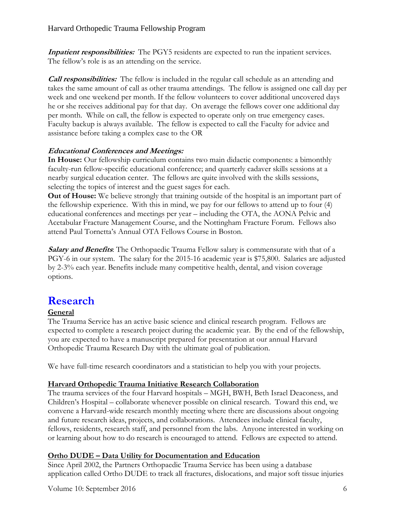**Inpatient responsibilities:** The PGY5 residents are expected to run the inpatient services. The fellow's role is as an attending on the service.

*Call responsibilities:* The fellow is included in the regular call schedule as an attending and takes the same amount of call as other trauma attendings. The fellow is assigned one call day per week and one weekend per month. If the fellow volunteers to cover additional uncovered days he or she receives additional pay for that day. On average the fellows cover one additional day per month. While on call, the fellow is expected to operate only on true emergency cases. Faculty backup is always available. The fellow is expected to call the Faculty for advice and assistance before taking a complex case to the OR

# **Educational Conferences and Meetings:**

**In House:** Our fellowship curriculum contains two main didactic components: a bimonthly faculty-run fellow-specific educational conference; and quarterly cadaver skills sessions at a nearby surgical education center. The fellows are quite involved with the skills sessions, selecting the topics of interest and the guest sages for each.

**Out of House:** We believe strongly that training outside of the hospital is an important part of the fellowship experience. With this in mind, we pay for our fellows to attend up to four (4) educational conferences and meetings per year – including the OTA, the AONA Pelvic and Acetabular Fracture Management Course, and the Nottingham Fracture Forum. Fellows also attend Paul Tornetta's Annual OTA Fellows Course in Boston.

**Salary and Benefits**: The Orthopaedic Trauma Fellow salary is commensurate with that of a PGY-6 in our system. The salary for the 2015-16 academic year is \$75,800. Salaries are adjusted by 2-3% each year. Benefits include many competitive health, dental, and vision coverage options.

# **Research**

# **General**

The Trauma Service has an active basic science and clinical research program. Fellows are expected to complete a research project during the academic year. By the end of the fellowship, you are expected to have a manuscript prepared for presentation at our annual Harvard Orthopedic Trauma Research Day with the ultimate goal of publication.

We have full-time research coordinators and a statistician to help you with your projects.

# **Harvard Orthopedic Trauma Initiative Research Collaboration**

The trauma services of the four Harvard hospitals – MGH, BWH, Beth Israel Deaconess, and Children's Hospital – collaborate whenever possible on clinical research. Toward this end, we convene a Harvard-wide research monthly meeting where there are discussions about ongoing and future research ideas, projects, and collaborations. Attendees include clinical faculty, fellows, residents, research staff, and personnel from the labs. Anyone interested in working on or learning about how to do research is encouraged to attend. Fellows are expected to attend.

# **Ortho DUDE – Data Utility for Documentation and Education**

Since April 2002, the Partners Orthopaedic Trauma Service has been using a database application called Ortho DUDE to track all fractures, dislocations, and major soft tissue injuries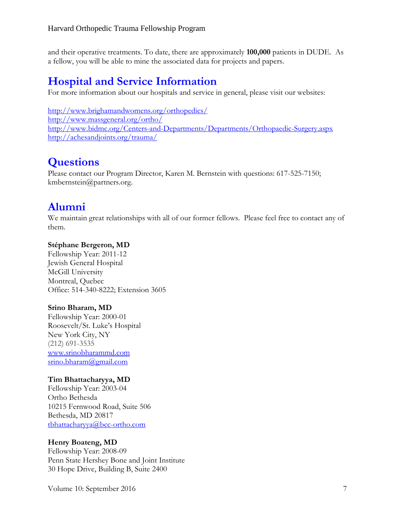and their operative treatments. To date, there are approximately **100,000** patients in DUDE. As a fellow, you will be able to mine the associated data for projects and papers.

# **Hospital and Service Information**

For more information about our hospitals and service in general, please visit our websites:

<http://www.brighamandwomens.org/orthopedics/> <http://www.massgeneral.org/ortho/> <http://www.bidmc.org/Centers-and-Departments/Departments/Orthopaedic-Surgery.aspx> <http://achesandjoints.org/trauma/>

# **Questions**

Please contact our Program Director, Karen M. Bernstein with questions: 617-525-7150; kmbernstein@partners.org.

# **Alumni**

We maintain great relationships with all of our former fellows. Please feel free to contact any of them.

# **Stéphane Bergeron, MD**

Fellowship Year: 2011-12 Jewish General Hospital McGill University Montreal, Quebec Office: 514-340-8222; Extension 3605

### **Srino Bharam, MD**

Fellowship Year: 2000-01 Roosevelt/St. Luke's Hospital New York City, NY (212) 691-3535 [www.srinobharammd.com](http://www.srinobharammd.com/) [srino.bharam@gmail.com](mailto:srino.bharam@gmail.com)

# **Tim Bhattacharyya, MD**

Fellowship Year: 2003-04 Ortho Bethesda 10215 Fernwood Road, Suite 506 Bethesda, MD 20817 [tbhattacharyya@bcc-ortho.com](mailto:tbhattacharyya@bcc-ortho.com)

### **Henry Boateng, MD**

Fellowship Year: 2008-09 Penn State Hershey Bone and Joint Institute 30 Hope Drive, Building B, Suite 2400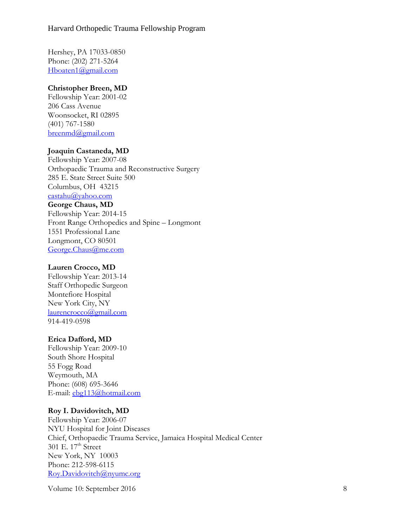Hershey, PA 17033-0850 Phone: (202) 271-5264 [Hboaten1@gmail.com](mailto:Hboaten1@gmail.com)

#### **Christopher Breen, MD**

Fellowship Year: 2001-02 206 Cass Avenue Woonsocket, RI 02895 (401) 767-1580 [breenmd@gmail.com](mailto:breenmd@gmail.com)

## **Joaquin Castaneda, MD**

Fellowship Year: 2007-08 Orthopaedic Trauma and Reconstructive Surgery 285 E. State Street Suite 500 Columbus, OH 43215 [castahu@yahoo.com](mailto:castahu@yahoo.com) **George Chaus, MD** Fellowship Year: 2014-15 Front Range Orthopedics and Spine – Longmont 1551 Professional Lane Longmont, CO 80501 [George.Chaus@me.com](mailto:George.Chaus@me.com)

#### **Lauren Crocco, MD**

Fellowship Year: 2013-14 Staff Orthopedic Surgeon Montefiore Hospital New York City, NY [laurencrocco@gmail.com](mailto:laurencrocco@gmail.com) 914-419-0598

#### **Erica Dafford, MD**

Fellowship Year: 2009-10 South Shore Hospital 55 Fogg Road Weymouth, MA Phone: (608) 695-3646 E-mail: [ebg113@hotmail.com](mailto:ebg113@hotmail.com)

### **Roy I. Davidovitch, MD**

Fellowship Year: 2006-07 NYU Hospital for Joint Diseases Chief, Orthopaedic Trauma Service, Jamaica Hospital Medical Center 301 E.  $17<sup>th</sup>$  Street New York, NY 10003 Phone: 212-598-6115 [Roy.Davidovitch@nyumc.org](mailto:Roy.Davidovitch@nyumc.org)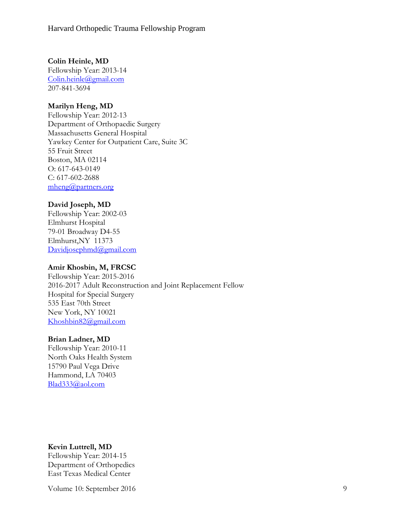**Colin Heinle, MD**

Fellowship Year: 2013-14 [Colin.heinle@gmail.com](mailto:Colin.heinle@gmail.com) 207-841-3694

#### **Marilyn Heng, MD**

Fellowship Year: 2012-13 Department of Orthopaedic Surgery Massachusetts General Hospital Yawkey Center for Outpatient Care, Suite 3C 55 Fruit Street Boston, MA 02114 O: 617-643-0149 C: 617-602-2688 [mheng@partners.org](mailto:mheng@partners.org)

#### **David Joseph, MD**

Fellowship Year: 2002-03 Elmhurst Hospital 79-01 Broadway D4-55 Elmhurst,NY 11373 [Davidjosephmd@gmail.com](mailto:Davidjosephmd@gmail.com)

#### **Amir Khosbin, M, FRCSC**

Fellowship Year: 2015-2016 2016-2017 Adult Reconstruction and Joint Replacement Fellow Hospital for Special Surgery 535 East 70th Street New York, NY 10021 [Khoshbin82@gmail.com](mailto:Khoshbin82@gmail.com)

#### **Brian Ladner, MD**

Fellowship Year: 2010-11 North Oaks Health System 15790 Paul Vega Drive Hammond, LA 70403 [Blad333@aol.com](mailto:Blad333@aol.com)

#### **Kevin Luttrell, MD**

Fellowship Year: 2014-15 Department of Orthopedics East Texas Medical Center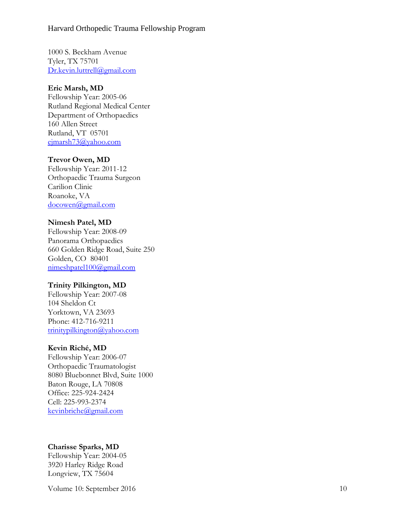1000 S. Beckham Avenue Tyler, TX 75701 [Dr.kevin.luttrell@gmail.com](mailto:Dr.kevin.luttrell@gmail.com)

#### **Eric Marsh, MD**

Fellowship Year: 2005 -06 Rutland Regional Medical Center Department of Orthopaedics 160 Allen Street Rutland, VT 05701 ejmarsh73@yahoo.com

#### **Trevor Owen, MD**

Fellowship Year: 2011 -12 Orthopaedic Trauma Surgeon Carilion Clinic Roanoke, VA [docowen@gmail.com](mailto:docowen@gmail.com)

#### **Nimesh Patel, M D**

Fellowship Year: 2008 -09 Panorama Orthopaedics 660 Golden Ridge Road, Suite 250 Golden, CO 80401 [nimeshpatel100@gmail.com](mailto:nimeshpatel100@gmail.com)

#### **Trinity Pilkington, MD**

Fellowship Year: 2007 -08 104 Sheldon Ct Yorktown, VA 23693 Phone: 412-716-9211 [trinitypilkington@yahoo.com](mailto:trinitypilkington@yahoo.com)

#### **Kevin Riché, MD**

Fellowship Year: 2006 -07 Orthopaedic Traumatologist 8080 Bluebonnet Blvd, Suite 1000 Baton Rouge, LA 70808 Office: 225 -924 -2424 Cell: 225 -993 -2374 [kevinbriche@gmail.com](mailto:kevinbriche@gmail.com)

### **Charisse Sparks, MD**

Fellowship Year: 2004 -05 3920 Harley Ridge Road Longview, T X 75604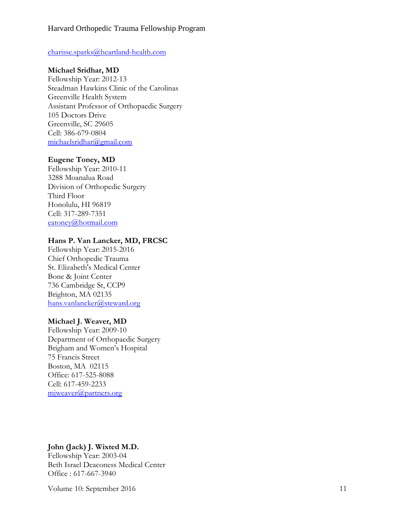#### [charisse.sparks@heartland](mailto:charisse.sparks@heartland-health.com) -health.com

#### **Michael Sridhar, MD**

Fellowship Year: 2012 -13 Steadman Hawkins Clinic of the Carolinas Greenville Health System Assistant Professor of Orthopaedic Surgery 105 Doctors Drive Greenville, SC 29605 Cell: 386 -679 -0804 michaelsridhar@gmail.com

#### **Eugene Toney, MD**

Fellowship Year: 2010 -11 3288 Moanalua Road Division of Orthopedic Surgery Third Floor Honolulu, HI 96819 Cell: 317 -289 -7351 [eatoney@hotmail.com](mailto:eatoney@hotmail.com)

#### **Hans P. Van Lancker, MD, FRCS C**

Fellowship Year: 2015 -2016 Chief Orthopedic Trauma St. Elizabeth's Medical Center Bone & Joint Center 736 Cambridge St, CCP9 Brighton, MA 02135 [hans.vanlancker@steward.org](mailto:hans.vanlancker@steward.org)

#### **Michael J. Weaver, M D**

Fellowship Year: 2009-10 Department of Orthopaedic Surgery Brigham and Women's Hospital 75 Francis Street Boston, MA 02115 Office: 617-525-8088 Cell: 617 -459 -2233 mjweaver@partners.org

### **John (Jack) J. Wixted M.D.**

Fellowship Year: 2003 -04 Beth Israel Deaconess Medical Center Office: 617-667-3940